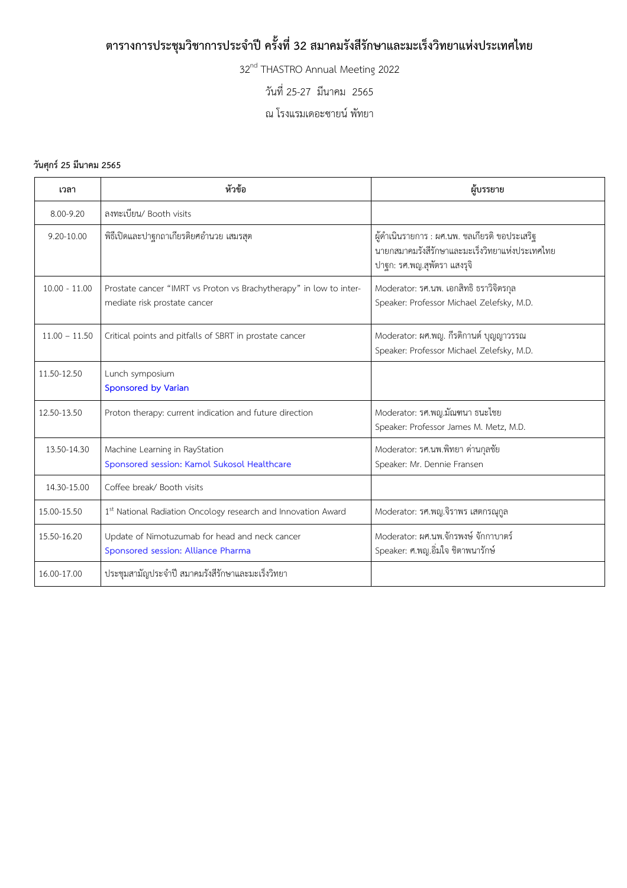## **ตารางการประชุมวิชาการประจ าปีครั้งที่32 สมาคมรังสีรักษาและมะเร็งวิทยาแห่งประเทศไทย**

32<sup>nd</sup> THASTRO Annual Meeting 2022

วันที่ 25-27 มีนาคม 2565

ณ โรงแรมเดอะซายน์ พัทยา

## **วันศุกร์25 มีนาคม 2565**

| เวลา            | หัวข้อ                                                                                             | ผู้บรรยาย                                                                                                                      |
|-----------------|----------------------------------------------------------------------------------------------------|--------------------------------------------------------------------------------------------------------------------------------|
| 8.00-9.20       | ลงทะเบียน/ Booth visits                                                                            |                                                                                                                                |
| $9.20 - 10.00$  | พิธีเปิดและปาฐกถาเกียรติยศอำนวย เสมรสุต                                                            | ผู้ดำเนินรายการ : ผศ.นพ. ชลเกียรติ ขอประเสริฐ<br>นายกสมาคมรังสีรักษาและมะเร็งวิทยาแห่งประเทศไทย<br>ปาฐก: รศ.พญ.สุพัตรา แสงรุจิ |
| $10.00 - 11.00$ | Prostate cancer "IMRT vs Proton vs Brachytherapy" in low to inter-<br>mediate risk prostate cancer | Moderator: รศ.นพ. เอกสิทธิ ธราวิจิตรกุล<br>Speaker: Professor Michael Zelefsky, M.D.                                           |
| $11.00 - 11.50$ | Critical points and pitfalls of SBRT in prostate cancer                                            | Moderator: ผศ.พญ. กีรติกานต์ บุญญาวรรณ<br>Speaker: Professor Michael Zelefsky, M.D.                                            |
| 11.50-12.50     | Lunch symposium<br><b>Sponsored by Varian</b>                                                      |                                                                                                                                |
| 12.50-13.50     | Proton therapy: current indication and future direction                                            | Moderator: รศ.พญ.มัณฑนา ธนะไชย<br>Speaker: Professor James M. Metz, M.D.                                                       |
| 13.50-14.30     | Machine Learning in RayStation<br>Sponsored session: Kamol Sukosol Healthcare                      | Moderator: รศ.นพ.พิทยา ด่านกุลชัย<br>Speaker: Mr. Dennie Fransen                                                               |
| 14.30-15.00     | Coffee break/ Booth visits                                                                         |                                                                                                                                |
| 15.00-15.50     | 1st National Radiation Oncology research and Innovation Award                                      | Moderator: รศ.พญ.จิราพร เสตกรณุกูล                                                                                             |
| 15.50-16.20     | Update of Nimotuzumab for head and neck cancer<br>Sponsored session: Alliance Pharma               | Moderator: ผศ.นพ.จักรพงษ์ จักกาบาตร์<br>Speaker: ศ.พญ.อิ่มใจ ชิตาพนารักษ์                                                      |
| 16.00-17.00     | ประชุมสามัญประจำปี สมาคมรังสีรักษาและมะเร็งวิทยา                                                   |                                                                                                                                |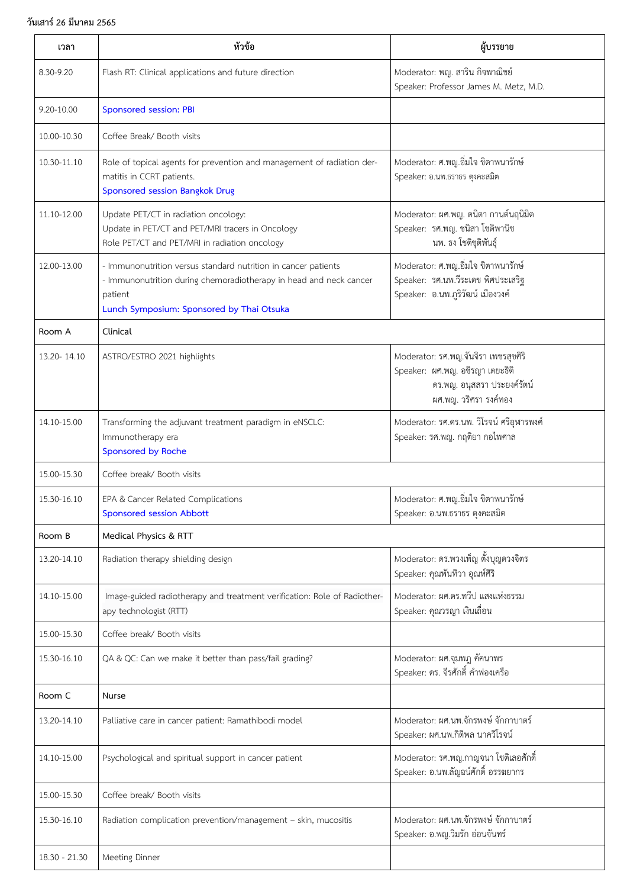## **วันเสาร์26 มีนาคม 2565**

| เวลา          | หัวข้อ                                                                                                                                                                                       | ผู้บรรยาย                                                                                                                       |
|---------------|----------------------------------------------------------------------------------------------------------------------------------------------------------------------------------------------|---------------------------------------------------------------------------------------------------------------------------------|
| 8.30-9.20     | Flash RT: Clinical applications and future direction                                                                                                                                         | Moderator: พญ. สาริน กิจพาณิชย์<br>Speaker: Professor James M. Metz, M.D.                                                       |
| 9.20-10.00    | Sponsored session: PBI                                                                                                                                                                       |                                                                                                                                 |
| 10.00-10.30   | Coffee Break/ Booth visits                                                                                                                                                                   |                                                                                                                                 |
| 10.30-11.10   | Role of topical agents for prevention and management of radiation der-<br>matitis in CCRT patients.<br>Sponsored session Bangkok Drug                                                        | Moderator: ศ.พญ.อิ่มใจ ชิตาพนารักษ์<br>Speaker: อ.นพ.ธราธร ตุงคะสมิต                                                            |
| 11.10-12.00   | Update PET/CT in radiation oncology:<br>Update in PET/CT and PET/MRI tracers in Oncology<br>Role PET/CT and PET/MRI in radiation oncology                                                    | Moderator: ผศ.พญ. ดนิตา กานต์นฤนิมิต<br>Speaker: รศ.พญ. ชนิสา โชติพานิช<br>นพ. ธง โชติชุติพันธุ์                                |
| 12.00-13.00   | - Immunonutrition versus standard nutrition in cancer patients<br>- Immunonutrition during chemoradiotherapy in head and neck cancer<br>patient<br>Lunch Symposium: Sponsored by Thai Otsuka | Moderator: ศ.พญ.อิ่มใจ ชิตาพนารักษ์<br>Speaker: รศ.นพ.วีระเดช พิศประเสริฐ<br>Speaker: อ.นพ.ภูริวัฒน์ เมืองวงค์                  |
| Room A        | Clinical                                                                                                                                                                                     |                                                                                                                                 |
| 13.20 - 14.10 | ASTRO/ESTRO 2021 highlights                                                                                                                                                                  | Moderator: รศ.พญ.จันจิรา เพชรสุขศิริ<br>Speaker: ผศ.พญ. อชิรญา เตยะธิติ<br>ดร.พญ. อนุสสรา ประยงค์รัตน์<br>ผศ.พญ. วริศรา รงค์ทอง |
| 14.10-15.00   | Transforming the adjuvant treatment paradigm in eNSCLC:<br>Immunotherapy era<br>Sponsored by Roche                                                                                           | Moderator: รศ.ดร.นพ. วิโรจน์ ศรีอุฬารพงศ์<br>Speaker: รศ.พญ. กฤติยา กอไพศาล                                                     |
| 15.00-15.30   | Coffee break/ Booth visits                                                                                                                                                                   |                                                                                                                                 |
| 15.30-16.10   | EPA & Cancer Related Complications<br>Sponsored session Abbott                                                                                                                               | Moderator: ศ.พญ.อิ่มใจ ชิตาพนารักษ์<br>Speaker: อ.นพ.ธราธร ตุงคะสมิต                                                            |
| Room B        | Medical Physics & RTT                                                                                                                                                                        |                                                                                                                                 |
| 13.20-14.10   | Radiation therapy shielding design                                                                                                                                                           | Moderator: ดร.พวงเพ็ญ ตั้งบุญดวงจิตร<br>Speaker: คุณพันทิวา อุณห์ศิริ                                                           |
| 14.10-15.00   | Image-guided radiotherapy and treatment verification: Role of Radiother-<br>apy technologist (RTT)                                                                                           | Moderator: ผศ.ดร.ทวีป แสงแห่งธรรม<br>Speaker: คุณวรญา เงินเถื่อน                                                                |
| 15.00-15.30   | Coffee break/ Booth visits                                                                                                                                                                   |                                                                                                                                 |
| 15.30-16.10   | QA & QC: Can we make it better than pass/fail grading?                                                                                                                                       | Moderator: ผศ.จุมพฎ คัคนาพร<br>Speaker: ดร. จีรศักดิ์ คำฟองเครือ                                                                |
| Room C        | Nurse                                                                                                                                                                                        |                                                                                                                                 |
| 13.20-14.10   | Palliative care in cancer patient: Ramathibodi model                                                                                                                                         | Moderator: ผศ.นพ.จักรพงษ์ จักกาบาตร์<br>Speaker: ผศ.นพ.กิติพล นาควิโรจน์                                                        |
| 14.10-15.00   | Psychological and spiritual support in cancer patient                                                                                                                                        | Moderator: รศ.พญ.กาญจนา โชติเลอศักดิ์<br>Speaker: อ.นพ.ลัญฉน์ศักดิ์ อรรฆยากร                                                    |
| 15.00-15.30   | Coffee break/ Booth visits                                                                                                                                                                   |                                                                                                                                 |
| 15.30-16.10   | Radiation complication prevention/management - skin, mucositis                                                                                                                               | Moderator: ผศ.นพ.จักรพงษ์ จักกาบาตร์<br>Speaker: อ.พญ.วิมรัก อ่อนจันทร์                                                         |
| 18.30 - 21.30 | Meeting Dinner                                                                                                                                                                               |                                                                                                                                 |